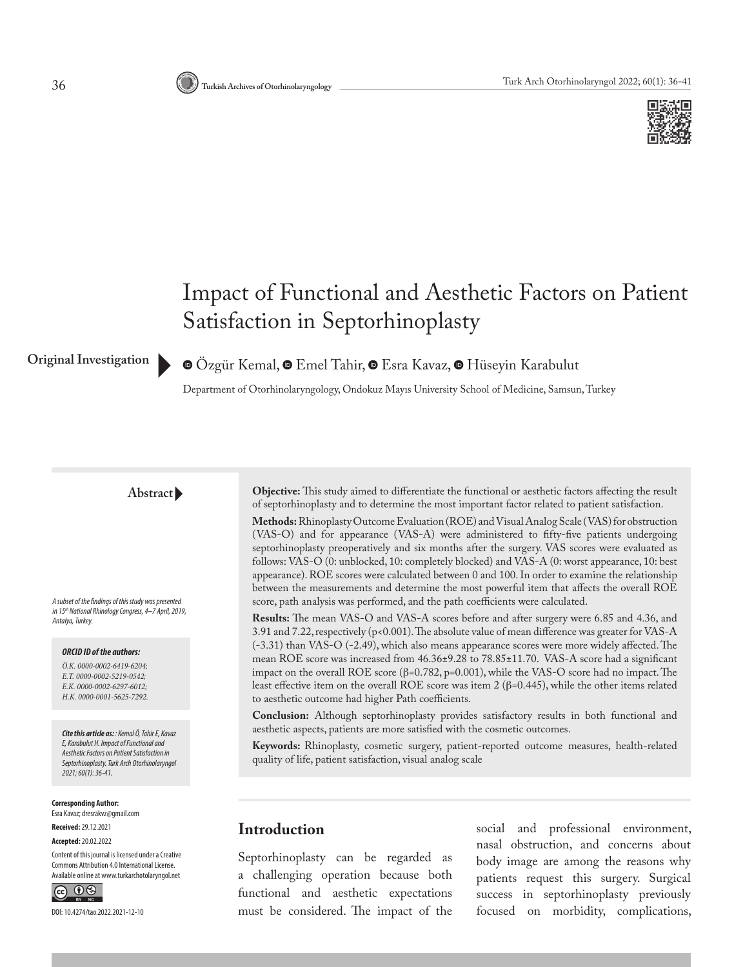

# Impact of Functional and Aesthetic Factors on Patient Satisfaction in Septorhinoplasty

**Original Investigation**

**O**Ozgür Kemal, **O** Emel Tahir, **O** Esra Kavaz, **O** Hüseyin Karabulut

Department of Otorhinolaryngology, Ondokuz Mayıs University School of Medicine, Samsun, Turkey

#### **Abstract**

*A subset of the findings of this study was presented in 15th National Rhinology Congress, 4–7 April, 2019, Antalya, Turkey.*

#### *ORCID ID of the authors:*

*Ö.K. 0000-0002-6419-6204; E.T. 0000-0002-5219-0542; E.K. 0000-0002-6297-6012; H.K. 0000-0001-5625-7292.*

*Cite this article as: : Kemal Ö, Tahir E, Kavaz E, Karabulut H. Impact of Functional and Aesthetic Factors on Patient Satisfaction in Septorhinoplasty. Turk Arch Otorhinolaryngol 2021; 60(1): 36-41.*

**Corresponding Author:**  Esra Kavaz; dresrakvz@gmail.com

**Received:** 29.12.2021 **Accepted:** 20.02.2022

Content of this journal is licensed under a Creative Commons Attribution 4.0 International License. Available online at www.turkarchotolaryngol.net



DOI: 10.4274/tao.2022.2021-12-10

**Objective:** This study aimed to differentiate the functional or aesthetic factors affecting the result of septorhinoplasty and to determine the most important factor related to patient satisfaction.

**Methods:** Rhinoplasty Outcome Evaluation (ROE) and Visual Analog Scale (VAS) for obstruction (VAS-O) and for appearance (VAS-A) were administered to fifty-five patients undergoing septorhinoplasty preoperatively and six months after the surgery. VAS scores were evaluated as follows: VAS-O (0: unblocked, 10: completely blocked) and VAS-A (0: worst appearance, 10: best appearance). ROE scores were calculated between 0 and 100. In order to examine the relationship between the measurements and determine the most powerful item that affects the overall ROE score, path analysis was performed, and the path coefficients were calculated.

**Results:** The mean VAS-O and VAS-A scores before and after surgery were 6.85 and 4.36, and 3.91 and 7.22, respectively (p<0.001). The absolute value of mean difference was greater for VAS-A (-3.31) than VAS-O (-2.49), which also means appearance scores were more widely affected. The mean ROE score was increased from 46.36±9.28 to 78.85±11.70. VAS-A score had a significant impact on the overall ROE score (β=0.782, p=0.001), while the VAS-O score had no impact. The least effective item on the overall ROE score was item 2 (β=0.445), while the other items related to aesthetic outcome had higher Path coefficients.

**Conclusion:** Although septorhinoplasty provides satisfactory results in both functional and aesthetic aspects, patients are more satisfied with the cosmetic outcomes.

**Keywords:** Rhinoplasty, cosmetic surgery, patient-reported outcome measures, health-related quality of life, patient satisfaction, visual analog scale

### **Introduction**

Septorhinoplasty can be regarded as a challenging operation because both functional and aesthetic expectations must be considered. The impact of the social and professional environment, nasal obstruction, and concerns about body image are among the reasons why patients request this surgery. Surgical success in septorhinoplasty previously focused on morbidity, complications,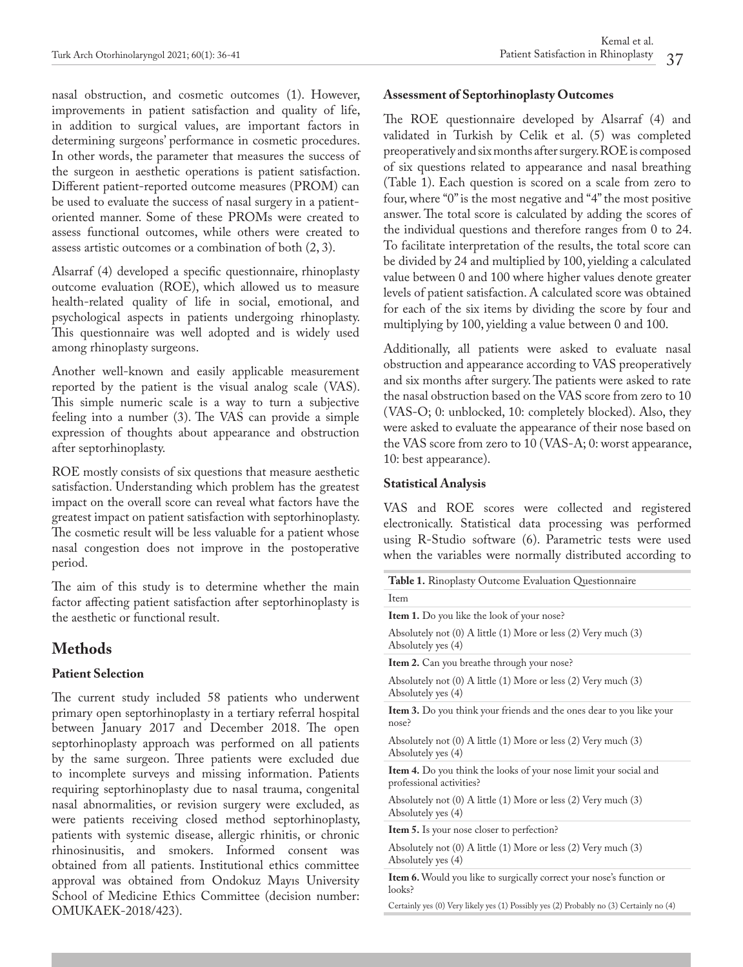nasal obstruction, and cosmetic outcomes (1). However, improvements in patient satisfaction and quality of life, in addition to surgical values, are important factors in determining surgeons' performance in cosmetic procedures. In other words, the parameter that measures the success of the surgeon in aesthetic operations is patient satisfaction. Different patient-reported outcome measures (PROM) can be used to evaluate the success of nasal surgery in a patientoriented manner. Some of these PROMs were created to assess functional outcomes, while others were created to assess artistic outcomes or a combination of both (2, 3).

Alsarraf (4) developed a specific questionnaire, rhinoplasty outcome evaluation (ROE), which allowed us to measure health-related quality of life in social, emotional, and psychological aspects in patients undergoing rhinoplasty. This questionnaire was well adopted and is widely used among rhinoplasty surgeons.

Another well-known and easily applicable measurement reported by the patient is the visual analog scale (VAS). This simple numeric scale is a way to turn a subjective feeling into a number (3). The VAS can provide a simple expression of thoughts about appearance and obstruction after septorhinoplasty.

ROE mostly consists of six questions that measure aesthetic satisfaction. Understanding which problem has the greatest impact on the overall score can reveal what factors have the greatest impact on patient satisfaction with septorhinoplasty. The cosmetic result will be less valuable for a patient whose nasal congestion does not improve in the postoperative period.

The aim of this study is to determine whether the main factor affecting patient satisfaction after septorhinoplasty is the aesthetic or functional result.

### **Methods**

### **Patient Selection**

The current study included 58 patients who underwent primary open septorhinoplasty in a tertiary referral hospital between January 2017 and December 2018. The open septorhinoplasty approach was performed on all patients by the same surgeon. Three patients were excluded due to incomplete surveys and missing information. Patients requiring septorhinoplasty due to nasal trauma, congenital nasal abnormalities, or revision surgery were excluded, as were patients receiving closed method septorhinoplasty, patients with systemic disease, allergic rhinitis, or chronic rhinosinusitis, and smokers. Informed consent was obtained from all patients. Institutional ethics committee approval was obtained from Ondokuz Mayıs University School of Medicine Ethics Committee (decision number: OMUKAEK-2018/423).

#### **Assessment of Septorhinoplasty Outcomes**

The ROE questionnaire developed by Alsarraf (4) and validated in Turkish by Celik et al. (5) was completed preoperatively and six months after surgery. ROE is composed of six questions related to appearance and nasal breathing (Table 1). Each question is scored on a scale from zero to four, where "0" is the most negative and "4" the most positive answer. The total score is calculated by adding the scores of the individual questions and therefore ranges from 0 to 24. To facilitate interpretation of the results, the total score can be divided by 24 and multiplied by 100, yielding a calculated value between 0 and 100 where higher values denote greater levels of patient satisfaction. A calculated score was obtained for each of the six items by dividing the score by four and multiplying by 100, yielding a value between 0 and 100.

Additionally, all patients were asked to evaluate nasal obstruction and appearance according to VAS preoperatively and six months after surgery. The patients were asked to rate the nasal obstruction based on the VAS score from zero to 10 (VAS-O; 0: unblocked, 10: completely blocked). Also, they were asked to evaluate the appearance of their nose based on the VAS score from zero to 10 (VAS-A; 0: worst appearance, 10: best appearance).

#### **Statistical Analysis**

VAS and ROE scores were collected and registered electronically. Statistical data processing was performed using R-Studio software (6). Parametric tests were used when the variables were normally distributed according to

| <b>Table 1.</b> Rinoplasty Outcome Evaluation Questionnaire                                          |
|------------------------------------------------------------------------------------------------------|
| Item                                                                                                 |
| <b>Item 1.</b> Do you like the look of your nose?                                                    |
| Absolutely not (0) A little (1) More or less (2) Very much (3)<br>Absolutely yes (4)                 |
| <b>Item 2.</b> Can you breathe through your nose?                                                    |
| Absolutely not (0) A little (1) More or less (2) Very much (3)<br>Absolutely yes (4)                 |
| Item 3. Do you think your friends and the ones dear to you like your<br>nose?                        |
| Absolutely not (0) A little (1) More or less (2) Very much (3)<br>Absolutely yes (4)                 |
| <b>Item 4.</b> Do you think the looks of your nose limit your social and<br>professional activities? |
| Absolutely not (0) A little (1) More or less (2) Very much (3)<br>Absolutely yes (4)                 |
| <b>Item 5.</b> Is your nose closer to perfection?                                                    |
| Absolutely not (0) A little (1) More or less (2) Very much (3)<br>Absolutely yes (4)                 |
| <b>Item 6.</b> Would you like to surgically correct your nose's function or<br>$looks$ ?             |
| Certainly yes (0) Very likely yes (1) Possibly yes (2) Probably no (3) Certainly no (4)              |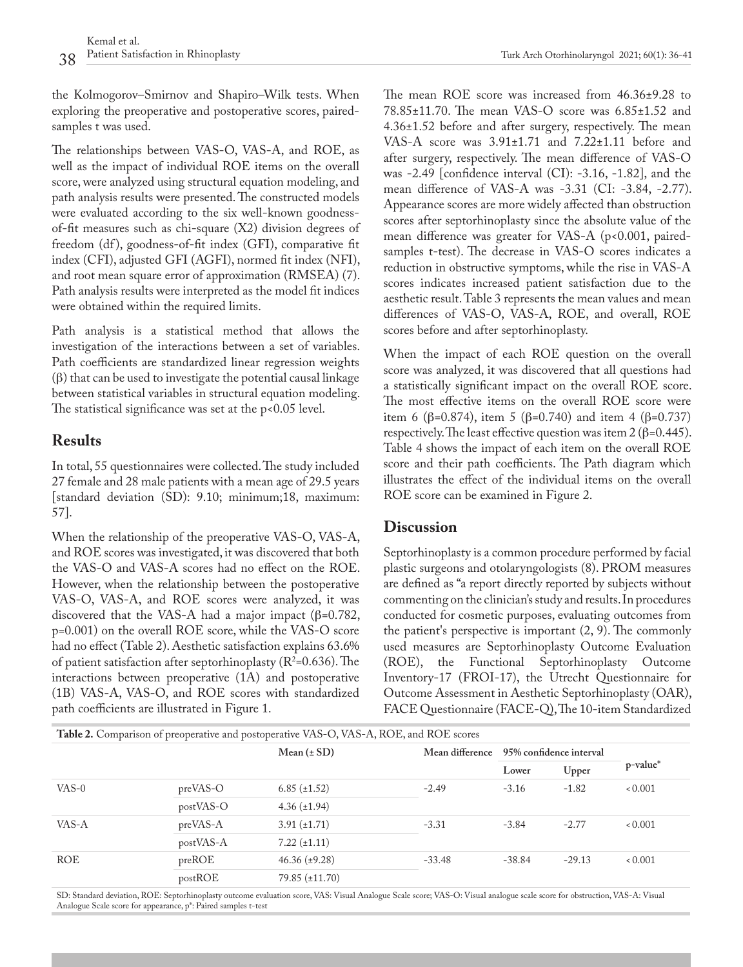the Kolmogorov–Smirnov and Shapiro–Wilk tests. When exploring the preoperative and postoperative scores, pairedsamples t was used.

The relationships between VAS-O, VAS-A, and ROE, as well as the impact of individual ROE items on the overall score, were analyzed using structural equation modeling, and path analysis results were presented. The constructed models were evaluated according to the six well-known goodnessof-fit measures such as chi-square (X2) division degrees of freedom (df), goodness-of-fit index (GFI), comparative fit index (CFI), adjusted GFI (AGFI), normed fit index (NFI), and root mean square error of approximation (RMSEA) (7). Path analysis results were interpreted as the model fit indices were obtained within the required limits.

Path analysis is a statistical method that allows the investigation of the interactions between a set of variables. Path coefficients are standardized linear regression weights (β) that can be used to investigate the potential causal linkage between statistical variables in structural equation modeling. The statistical significance was set at the  $p$ <0.05 level.

### **Results**

In total, 55 questionnaires were collected. The study included 27 female and 28 male patients with a mean age of 29.5 years [standard deviation (SD): 9.10; minimum;18, maximum: 57].

When the relationship of the preoperative VAS-O, VAS-A, and ROE scores was investigated, it was discovered that both the VAS-O and VAS-A scores had no effect on the ROE. However, when the relationship between the postoperative VAS-O, VAS-A, and ROE scores were analyzed, it was discovered that the VAS-A had a major impact (β=0.782, p=0.001) on the overall ROE score, while the VAS-O score had no effect (Table 2). Aesthetic satisfaction explains 63.6% of patient satisfaction after septorhinoplasty ( $R^2$ =0.636). The interactions between preoperative (1A) and postoperative (1B) VAS-A, VAS-O, and ROE scores with standardized path coefficients are illustrated in Figure 1.

The mean ROE score was increased from 46.36±9.28 to 78.85±11.70. The mean VAS-O score was 6.85±1.52 and 4.36±1.52 before and after surgery, respectively. The mean VAS-A score was 3.91±1.71 and 7.22±1.11 before and after surgery, respectively. The mean difference of VAS-O was -2.49 [confidence interval (CI): -3.16, -1.82], and the mean difference of VAS-A was -3.31 (CI: -3.84, -2.77). Appearance scores are more widely affected than obstruction scores after septorhinoplasty since the absolute value of the mean difference was greater for VAS-A (p<0.001, pairedsamples t-test). The decrease in VAS-O scores indicates a reduction in obstructive symptoms, while the rise in VAS-A scores indicates increased patient satisfaction due to the aesthetic result. Table 3 represents the mean values and mean differences of VAS-O, VAS-A, ROE, and overall, ROE scores before and after septorhinoplasty.

When the impact of each ROE question on the overall score was analyzed, it was discovered that all questions had a statistically significant impact on the overall ROE score. The most effective items on the overall ROE score were item 6 (β=0.874), item 5 (β=0.740) and item 4 (β=0.737) respectively. The least effective question was item  $2$  ( $\beta$ =0.445). Table 4 shows the impact of each item on the overall ROE score and their path coefficients. The Path diagram which illustrates the effect of the individual items on the overall ROE score can be examined in Figure 2.

### **Discussion**

Septorhinoplasty is a common procedure performed by facial plastic surgeons and otolaryngologists (8). PROM measures are defined as "a report directly reported by subjects without commenting on the clinician's study and results. In procedures conducted for cosmetic purposes, evaluating outcomes from the patient's perspective is important (2, 9). The commonly used measures are Septorhinoplasty Outcome Evaluation (ROE), the Functional Septorhinoplasty Outcome Inventory-17 (FROI-17), the Utrecht Questionnaire for Outcome Assessment in Aesthetic Septorhinoplasty (OAR), FACE Questionnaire (FACE-Q), The 10-item Standardized

| Table 2. Comparison of preoperative and postoperative VAS-O, VAS-A, ROE, and ROE scores |           |                       |                 |                         |          |          |  |  |
|-----------------------------------------------------------------------------------------|-----------|-----------------------|-----------------|-------------------------|----------|----------|--|--|
|                                                                                         |           | Mean $(\pm SD)$       | Mean difference | 95% confidence interval |          | p-value* |  |  |
|                                                                                         |           |                       |                 | Lower                   | Upper    |          |  |  |
| VAS-0                                                                                   | preVAS-O  | $6.85 \ (\pm 1.52)$   | $-2.49$         | $-3.16$                 | $-1.82$  | 0.001    |  |  |
|                                                                                         | postVAS-O | $4.36 \ (\pm 1.94)$   |                 |                         |          |          |  |  |
| VAS-A                                                                                   | preVAS-A  | $3.91 (\pm 1.71)$     | $-3.31$         | $-3.84$                 | $-2.77$  | 0.001    |  |  |
|                                                                                         | postVAS-A | $7.22 (\pm 1.11)$     |                 |                         |          |          |  |  |
| <b>ROE</b>                                                                              | preROE    | $46.36 \ (\pm 9.28)$  | $-33.48$        | $-38.84$                | $-29.13$ | 0.001    |  |  |
|                                                                                         | postROE   | $79.85 \ (\pm 11.70)$ |                 |                         |          |          |  |  |

SD: Standard deviation, ROE: Septorhinoplasty outcome evaluation score, VAS: Visual Analogue Scale score; VAS-O: Visual analogue scale score for obstruction, VAS-A: Visual Analogue Scale score for appearance, p\*: Paired samples t-test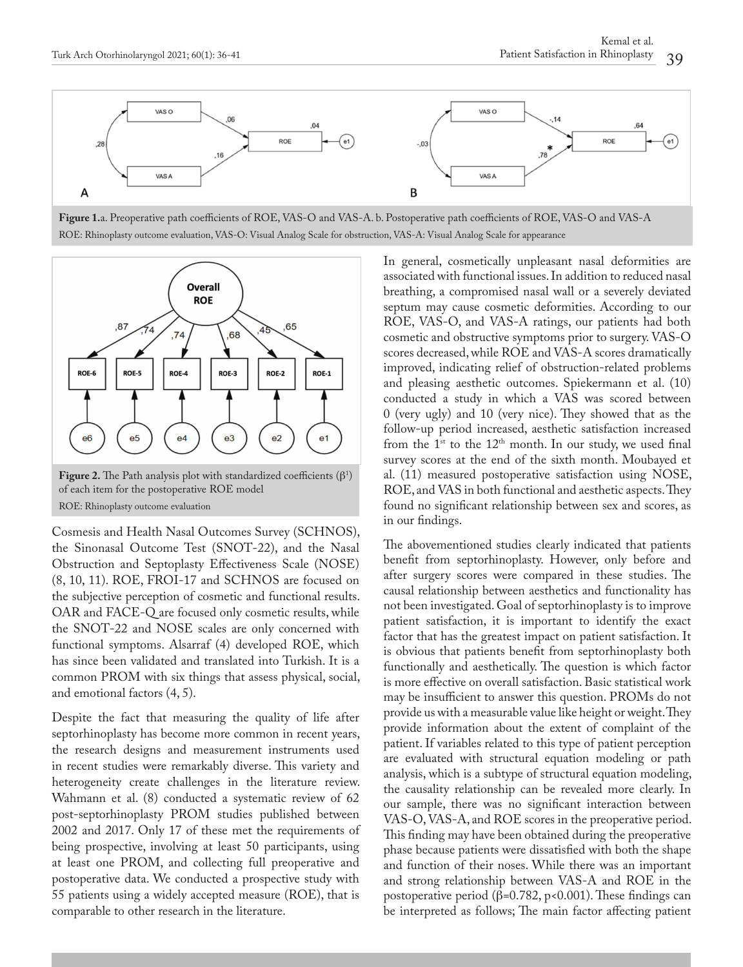

**Figure 1.**a. Preoperative path coefficients of ROE, VAS-O and VAS-A. b. Postoperative path coefficients of ROE, VAS-O and VAS-A ROE: Rhinoplasty outcome evaluation, VAS-O: Visual Analog Scale for obstruction, VAS-A: Visual Analog Scale for appearance



of each item for the postoperative ROE model ROE: Rhinoplasty outcome evaluation

Cosmesis and Health Nasal Outcomes Survey (SCHNOS), the Sinonasal Outcome Test (SNOT-22), and the Nasal Obstruction and Septoplasty Effectiveness Scale (NOSE) (8, 10, 11). ROE, FROI-17 and SCHNOS are focused on the subjective perception of cosmetic and functional results. OAR and FACE-Q are focused only cosmetic results, while the SNOT-22 and NOSE scales are only concerned with functional symptoms. Alsarraf (4) developed ROE, which has since been validated and translated into Turkish. It is a common PROM with six things that assess physical, social, and emotional factors (4, 5).

Despite the fact that measuring the quality of life after septorhinoplasty has become more common in recent years, the research designs and measurement instruments used in recent studies were remarkably diverse. This variety and heterogeneity create challenges in the literature review. Wahmann et al. (8) conducted a systematic review of 62 post-septorhinoplasty PROM studies published between 2002 and 2017. Only 17 of these met the requirements of being prospective, involving at least 50 participants, using at least one PROM, and collecting full preoperative and postoperative data. We conducted a prospective study with 55 patients using a widely accepted measure (ROE), that is comparable to other research in the literature.

In general, cosmetically unpleasant nasal deformities are associated with functional issues. In addition to reduced nasal breathing, a compromised nasal wall or a severely deviated septum may cause cosmetic deformities. According to our ROE, VAS-O, and VAS-A ratings, our patients had both cosmetic and obstructive symptoms prior to surgery. VAS-O scores decreased, while ROE and VAS-A scores dramatically improved, indicating relief of obstruction-related problems and pleasing aesthetic outcomes. Spiekermann et al. (10) conducted a study in which a VAS was scored between 0 (very ugly) and 10 (very nice). They showed that as the follow-up period increased, aesthetic satisfaction increased from the  $1^{st}$  to the  $12^{th}$  month. In our study, we used final survey scores at the end of the sixth month. Moubayed et al. (11) measured postoperative satisfaction using NOSE, ROE, and VAS in both functional and aesthetic aspects. They found no significant relationship between sex and scores, as in our findings.

The abovementioned studies clearly indicated that patients benefit from septorhinoplasty. However, only before and after surgery scores were compared in these studies. The causal relationship between aesthetics and functionality has not been investigated. Goal of septorhinoplasty is to improve patient satisfaction, it is important to identify the exact factor that has the greatest impact on patient satisfaction. It is obvious that patients benefit from septorhinoplasty both functionally and aesthetically. The question is which factor is more effective on overall satisfaction. Basic statistical work may be insufficient to answer this question. PROMs do not provide us with a measurable value like height or weight. They provide information about the extent of complaint of the patient. If variables related to this type of patient perception are evaluated with structural equation modeling or path analysis, which is a subtype of structural equation modeling, the causality relationship can be revealed more clearly. In our sample, there was no significant interaction between VAS-O, VAS-A, and ROE scores in the preoperative period. This finding may have been obtained during the preoperative phase because patients were dissatisfied with both the shape and function of their noses. While there was an important and strong relationship between VAS-A and ROE in the postoperative period (β=0.782, p<0.001). These findings can be interpreted as follows; The main factor affecting patient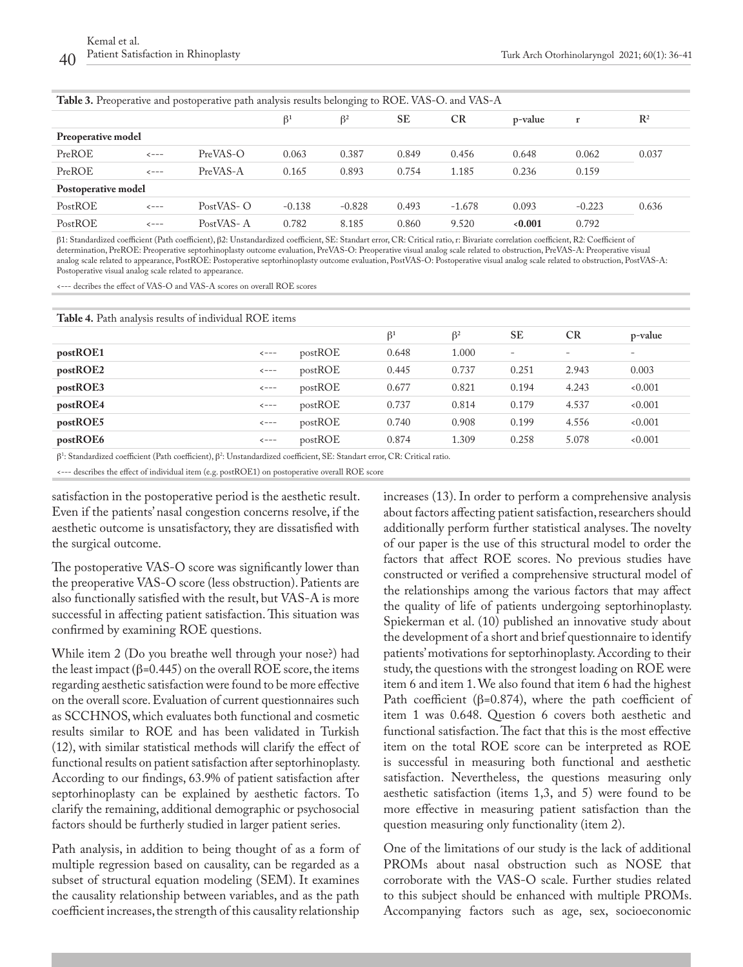|                     |                    | <b>Table 3.</b> Preoperative and postoperative path analysis results belonging to ROE. VAS-O. and VAS-A |                      |           |           |           |         |          |                |
|---------------------|--------------------|---------------------------------------------------------------------------------------------------------|----------------------|-----------|-----------|-----------|---------|----------|----------------|
|                     |                    |                                                                                                         | $\beta$ <sup>1</sup> | $\beta^2$ | <b>SE</b> | <b>CR</b> | p-value | r        | $\mathbb{R}^2$ |
| Preoperative model  |                    |                                                                                                         |                      |           |           |           |         |          |                |
| PreROE              | $\leftarrow$ - - - | $PreVAS-O$                                                                                              | 0.063                | 0.387     | 0.849     | 0.456     | 0.648   | 0.062    | 0.037          |
| PreROE              | $\leftarrow - -$   | PreVAS-A                                                                                                | 0.165                | 0.893     | 0.754     | 1.185     | 0.236   | 0.159    |                |
| Postoperative model |                    |                                                                                                         |                      |           |           |           |         |          |                |
| PostROE             | $\leftarrow$ $ -$  | PostVAS-O                                                                                               | $-0.138$             | $-0.828$  | 0.493     | $-1.678$  | 0.093   | $-0.223$ | 0.636          |
| PostROE             | $\leftarrow$ - - - | PostVAS-A                                                                                               | 0.782                | 8.185     | 0.860     | 9.520     | 0.001   | 0.792    |                |
|                     |                    |                                                                                                         |                      |           |           |           |         |          |                |

β1: Standardized coefficient (Path coefficient), β2: Unstandardized coefficient, SE: Standart error, CR: Critical ratio, r: Bivariate correlation coefficient, R2: Coefficient of determination, PreROE: Preoperative septorhinoplasty outcome evaluation, PreVAS-O: Preoperative visual analog scale related to obstruction, PreVAS-A: Preoperative visual analog scale related to appearance, PostROE: Postoperative septorhinoplasty outcome evaluation, PostVAS-O: Postoperative visual analog scale related to obstruction, PostVAS-A: Postoperative visual analog scale related to appearance.

<--- decribes the effect of VAS-O and VAS-A scores on overall ROE scores

**Table 4.** Path analysis results of individual ROE items

| $\ldots$ |                   |         |                      |           |       |                          |         |
|----------|-------------------|---------|----------------------|-----------|-------|--------------------------|---------|
|          |                   |         | $\beta$ <sup>1</sup> | $\beta^2$ | SE    | CR                       | p-value |
| postROE1 | $\leftarrow$ $ -$ | postROE | 0.648                | 1.000     | -     | $\overline{\phantom{a}}$ | -       |
| postROE2 | $\leftarrow$ $ -$ | postROE | 0.445                | 0.737     | 0.251 | 2.943                    | 0.003   |
| postROE3 | $\leftarrow$ $ -$ | postROE | 0.677                | 0.821     | 0.194 | 4.243                    | 0.001   |
| postROE4 | $\leftarrow$ $ -$ | postROE | 0.737                | 0.814     | 0.179 | 4.537                    | 0.001   |
| postROE5 | $\leftarrow$ $ -$ | postROE | 0.740                | 0.908     | 0.199 | 4.556                    | 0.001   |
| postROE6 | $\leftarrow$ $ -$ | postROE | 0.874                | 1.309     | 0.258 | 5.078                    | 0.001   |
|          |                   |         |                      |           |       |                          |         |

 $β<sup>1</sup>$ : Standardized coefficient (Path coefficient),  $β<sup>2</sup>$ : Unstandardized coefficient, SE: Standart error, CR: Critical ratio.

<--- describes the effect of individual item (e.g. postROE1) on postoperative overall ROE score

satisfaction in the postoperative period is the aesthetic result. Even if the patients' nasal congestion concerns resolve, if the aesthetic outcome is unsatisfactory, they are dissatisfied with the surgical outcome.

The postoperative VAS-O score was significantly lower than the preoperative VAS-O score (less obstruction). Patients are also functionally satisfied with the result, but VAS-A is more successful in affecting patient satisfaction. This situation was confirmed by examining ROE questions.

While item 2 (Do you breathe well through your nose?) had the least impact (β=0.445) on the overall ROE score, the items regarding aesthetic satisfaction were found to be more effective on the overall score. Evaluation of current questionnaires such as SCCHNOS, which evaluates both functional and cosmetic results similar to ROE and has been validated in Turkish (12), with similar statistical methods will clarify the effect of functional results on patient satisfaction after septorhinoplasty. According to our findings, 63.9% of patient satisfaction after septorhinoplasty can be explained by aesthetic factors. To clarify the remaining, additional demographic or psychosocial factors should be furtherly studied in larger patient series.

Path analysis, in addition to being thought of as a form of multiple regression based on causality, can be regarded as a subset of structural equation modeling (SEM). It examines the causality relationship between variables, and as the path coefficient increases, the strength of this causality relationship

increases (13). In order to perform a comprehensive analysis about factors affecting patient satisfaction, researchers should additionally perform further statistical analyses. The novelty of our paper is the use of this structural model to order the factors that affect ROE scores. No previous studies have constructed or verified a comprehensive structural model of the relationships among the various factors that may affect the quality of life of patients undergoing septorhinoplasty. Spiekerman et al. (10) published an innovative study about the development of a short and brief questionnaire to identify patients' motivations for septorhinoplasty. According to their study, the questions with the strongest loading on ROE were item 6 and item 1. We also found that item 6 had the highest Path coefficient ( $\beta$ =0.874), where the path coefficient of item 1 was 0.648. Question 6 covers both aesthetic and functional satisfaction. The fact that this is the most effective item on the total ROE score can be interpreted as ROE is successful in measuring both functional and aesthetic satisfaction. Nevertheless, the questions measuring only aesthetic satisfaction (items 1,3, and 5) were found to be more effective in measuring patient satisfaction than the question measuring only functionality (item 2).

One of the limitations of our study is the lack of additional PROMs about nasal obstruction such as NOSE that corroborate with the VAS-O scale. Further studies related to this subject should be enhanced with multiple PROMs. Accompanying factors such as age, sex, socioeconomic